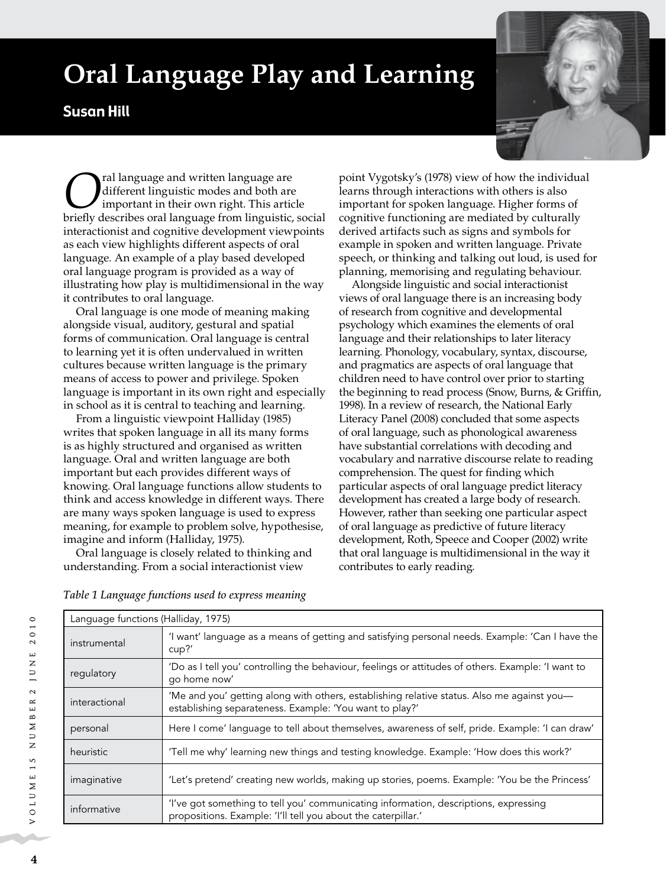# **Oral Language Play and Learning**

## Susan Hill



**O**ral language and written language are<br>
important in their own right. This article<br>
briefly describes oral language from linguistic so different linguistic modes and both are briefly describes oral language from linguistic, social interactionist and cognitive development viewpoints as each view highlights different aspects of oral language. An example of a play based developed oral language program is provided as a way of illustrating how play is multidimensional in the way it contributes to oral language.

Oral language is one mode of meaning making alongside visual, auditory, gestural and spatial forms of communication. Oral language is central to learning yet it is often undervalued in written cultures because written language is the primary means of access to power and privilege. Spoken language is important in its own right and especially in school as it is central to teaching and learning.

From a linguistic viewpoint Halliday (1985) writes that spoken language in all its many forms is as highly structured and organised as written language. Oral and written language are both important but each provides different ways of knowing. Oral language functions allow students to think and access knowledge in different ways. There are many ways spoken language is used to express meaning, for example to problem solve, hypothesise, imagine and inform (Halliday, 1975).

Oral language is closely related to thinking and understanding. From a social interactionist view

point Vygotsky's (1978) view of how the individual learns through interactions with others is also important for spoken language. Higher forms of cognitive functioning are mediated by culturally derived artifacts such as signs and symbols for example in spoken and written language. Private speech, or thinking and talking out loud, is used for planning, memorising and regulating behaviour.

Alongside linguistic and social interactionist views of oral language there is an increasing body of research from cognitive and developmental psychology which examines the elements of oral language and their relationships to later literacy learning. Phonology, vocabulary, syntax, discourse, and pragmatics are aspects of oral language that children need to have control over prior to starting the beginning to read process (Snow, Burns, & Griffin, 1998). In a review of research, the National Early Literacy Panel (2008) concluded that some aspects of oral language, such as phonological awareness have substantial correlations with decoding and vocabulary and narrative discourse relate to reading comprehension. The quest for finding which particular aspects of oral language predict literacy development has created a large body of research. However, rather than seeking one particular aspect of oral language as predictive of future literacy development, Roth, Speece and Cooper (2002) write that oral language is multidimensional in the way it contributes to early reading.

*Table 1 Language functions used to express meaning*

| Language functions (Halliday, 1975) |                                                                                                                                                       |  |
|-------------------------------------|-------------------------------------------------------------------------------------------------------------------------------------------------------|--|
| instrumental                        | 'I want' language as a means of getting and satisfying personal needs. Example: 'Can I have the<br>cup?                                               |  |
| regulatory                          | 'Do as I tell you' controlling the behaviour, feelings or attitudes of others. Example: 'I want to<br>go home now'                                    |  |
| interactional                       | 'Me and you' getting along with others, establishing relative status. Also me against you-<br>establishing separateness. Example: 'You want to play?' |  |
| personal                            | Here I come' language to tell about themselves, awareness of self, pride. Example: 'I can draw'                                                       |  |
| heuristic                           | 'Tell me why' learning new things and testing knowledge. Example: 'How does this work?'                                                               |  |
| imaginative                         | 'Let's pretend' creating new worlds, making up stories, poems. Example: 'You be the Princess'                                                         |  |
| informative                         | 'I've got something to tell you' communicating information, descriptions, expressing<br>propositions. Example: 'I'll tell you about the caterpillar.' |  |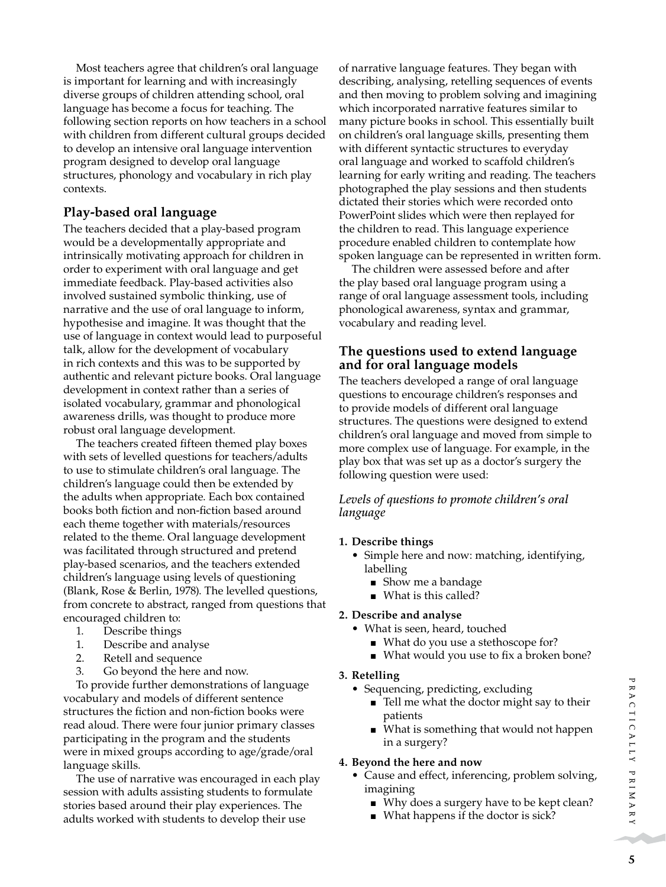Most teachers agree that children's oral language is important for learning and with increasingly diverse groups of children attending school, oral language has become a focus for teaching. The following section reports on how teachers in a school with children from different cultural groups decided to develop an intensive oral language intervention program designed to develop oral language structures, phonology and vocabulary in rich play contexts.

## **Play-based oral language**

The teachers decided that a play-based program would be a developmentally appropriate and intrinsically motivating approach for children in order to experiment with oral language and get immediate feedback. Play-based activities also involved sustained symbolic thinking, use of narrative and the use of oral language to inform, hypothesise and imagine. It was thought that the use of language in context would lead to purposeful talk, allow for the development of vocabulary in rich contexts and this was to be supported by authentic and relevant picture books. Oral language development in context rather than a series of isolated vocabulary, grammar and phonological awareness drills, was thought to produce more robust oral language development.

The teachers created fifteen themed play boxes with sets of levelled questions for teachers/adults to use to stimulate children's oral language. The children's language could then be extended by the adults when appropriate. Each box contained books both fiction and non-fiction based around each theme together with materials/resources related to the theme. Oral language development was facilitated through structured and pretend play-based scenarios, and the teachers extended children's language using levels of questioning (Blank, Rose & Berlin, 1978). The levelled questions, from concrete to abstract, ranged from questions that encouraged children to:

- 1. Describe things
- 1. Describe and analyse
- 2. Retell and sequence
- 3. Go beyond the here and now.

To provide further demonstrations of language vocabulary and models of different sentence structures the fiction and non-fiction books were read aloud. There were four junior primary classes participating in the program and the students were in mixed groups according to age/grade/oral language skills.

The use of narrative was encouraged in each play session with adults assisting students to formulate stories based around their play experiences. The adults worked with students to develop their use

of narrative language features. They began with describing, analysing, retelling sequences of events and then moving to problem solving and imagining which incorporated narrative features similar to many picture books in school. This essentially built on children's oral language skills, presenting them with different syntactic structures to everyday oral language and worked to scaffold children's learning for early writing and reading. The teachers photographed the play sessions and then students dictated their stories which were recorded onto PowerPoint slides which were then replayed for the children to read. This language experience procedure enabled children to contemplate how spoken language can be represented in written form.

The children were assessed before and after the play based oral language program using a range of oral language assessment tools, including phonological awareness, syntax and grammar, vocabulary and reading level.

### **The questions used to extend language and for oral language models**

The teachers developed a range of oral language questions to encourage children's responses and to provide models of different oral language structures. The questions were designed to extend children's oral language and moved from simple to more complex use of language. For example, in the play box that was set up as a doctor's surgery the following question were used:

#### *Levels of questions to promote children's oral language*

#### **1. Describe things**

- Simple here and now: matching, identifying, labelling
	- Show me a bandage
	- $\blacksquare$  What is this called?

#### **2. Describe and analyse**

- What is seen, heard, touched
	- What do you use a stethoscope for?
	- $\blacksquare$  What would you use to fix a broken bone?

#### **3. Retelling**

- Sequencing, predicting, excluding
	- $\blacksquare$  Tell me what the doctor might say to their patients
	- What is something that would not happen in a surgery?

#### **4. Beyond the here and now**

- Cause and effect, inferencing, problem solving, imagining
	- Why does a surgery have to be kept clean?
	- $\blacksquare$  What happens if the doctor is sick?